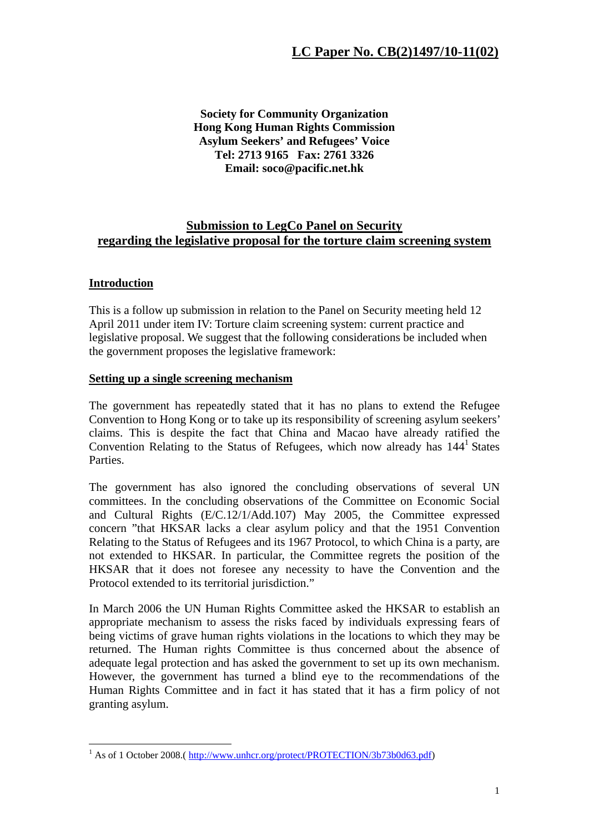**Society for Community Organization Hong Kong Human Rights Commission Asylum Seekers' and Refugees' Voice Tel: 2713 9165 Fax: 2761 3326 Email: soco@pacific.net.hk** 

## **Submission to LegCo Panel on Security regarding the legislative proposal for the torture claim screening system**

## **Introduction**

This is a follow up submission in relation to the Panel on Security meeting held 12 April 2011 under item IV: Torture claim screening system: current practice and legislative proposal. We suggest that the following considerations be included when the government proposes the legislative framework:

## **Setting up a single screening mechanism**

The government has repeatedly stated that it has no plans to extend the Refugee Convention to Hong Kong or to take up its responsibility of screening asylum seekers' claims. This is despite the fact that China and Macao have already ratified the Convention Relating to the Status of Refugees, which now already has  $144<sup>1</sup>$  States Parties.

The government has also ignored the concluding observations of several UN committees. In the concluding observations of the Committee on Economic Social and Cultural Rights (E/C.12/1/Add.107) May 2005, the Committee expressed concern "that HKSAR lacks a clear asylum policy and that the 1951 Convention Relating to the Status of Refugees and its 1967 Protocol, to which China is a party, are not extended to HKSAR. In particular, the Committee regrets the position of the HKSAR that it does not foresee any necessity to have the Convention and the Protocol extended to its territorial jurisdiction."

In March 2006 the UN Human Rights Committee asked the HKSAR to establish an appropriate mechanism to assess the risks faced by individuals expressing fears of being victims of grave human rights violations in the locations to which they may be returned. The Human rights Committee is thus concerned about the absence of adequate legal protection and has asked the government to set up its own mechanism. However, the government has turned a blind eye to the recommendations of the Human Rights Committee and in fact it has stated that it has a firm policy of not granting asylum.

<sup>1&</sup>lt;br>
<sup>1</sup> As of 1 October 2008.( http://www.unhcr.org/protect/PROTECTION/3b73b0d63.pdf)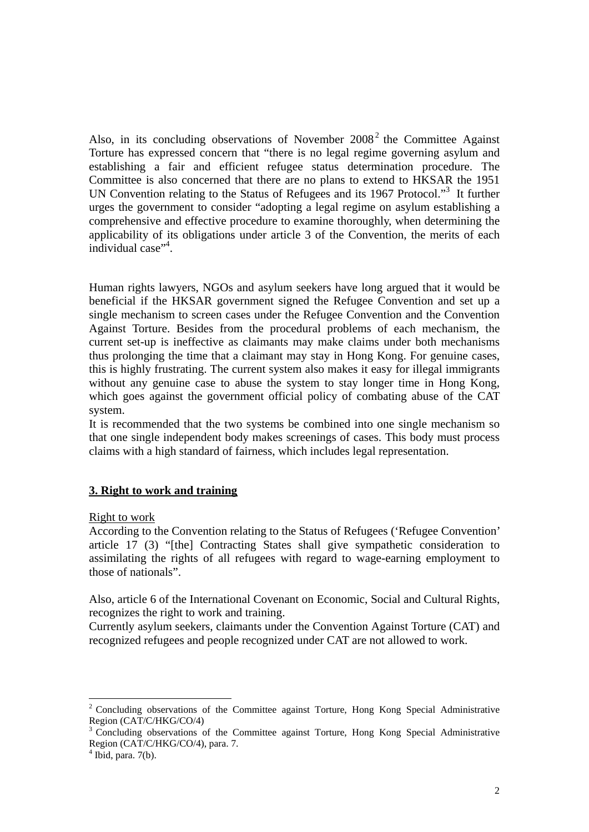Also, in its concluding observations of November  $2008<sup>2</sup>$  the Committee Against Torture has expressed concern that "there is no legal regime governing asylum and establishing a fair and efficient refugee status determination procedure. The Committee is also concerned that there are no plans to extend to HKSAR the 1951 UN Convention relating to the Status of Refugees and its 1967 Protocol."<sup>3</sup> It further urges the government to consider "adopting a legal regime on asylum establishing a comprehensive and effective procedure to examine thoroughly, when determining the applicability of its obligations under article 3 of the Convention, the merits of each individual case"<sup>4</sup>.

Human rights lawyers, NGOs and asylum seekers have long argued that it would be beneficial if the HKSAR government signed the Refugee Convention and set up a single mechanism to screen cases under the Refugee Convention and the Convention Against Torture. Besides from the procedural problems of each mechanism, the current set-up is ineffective as claimants may make claims under both mechanisms thus prolonging the time that a claimant may stay in Hong Kong. For genuine cases, this is highly frustrating. The current system also makes it easy for illegal immigrants without any genuine case to abuse the system to stay longer time in Hong Kong, which goes against the government official policy of combating abuse of the CAT system.

It is recommended that the two systems be combined into one single mechanism so that one single independent body makes screenings of cases. This body must process claims with a high standard of fairness, which includes legal representation.

## **3. Right to work and training**

Right to work

According to the Convention relating to the Status of Refugees ('Refugee Convention' article 17 (3) "[the] Contracting States shall give sympathetic consideration to assimilating the rights of all refugees with regard to wage-earning employment to those of nationals".

Also, article 6 of the International Covenant on Economic, Social and Cultural Rights, recognizes the right to work and training.

Currently asylum seekers, claimants under the Convention Against Torture (CAT) and recognized refugees and people recognized under CAT are not allowed to work.

<sup>&</sup>lt;u>.</u> <sup>2</sup> Concluding observations of the Committee against Torture, Hong Kong Special Administrative Region (CAT/C/HKG/CO/4)

<sup>&</sup>lt;sup>3</sup> Concluding observations of the Committee against Torture, Hong Kong Special Administrative Region (CAT/C/HKG/CO/4), para. 7.

 $<sup>4</sup>$  Ibid, para. 7(b).</sup>